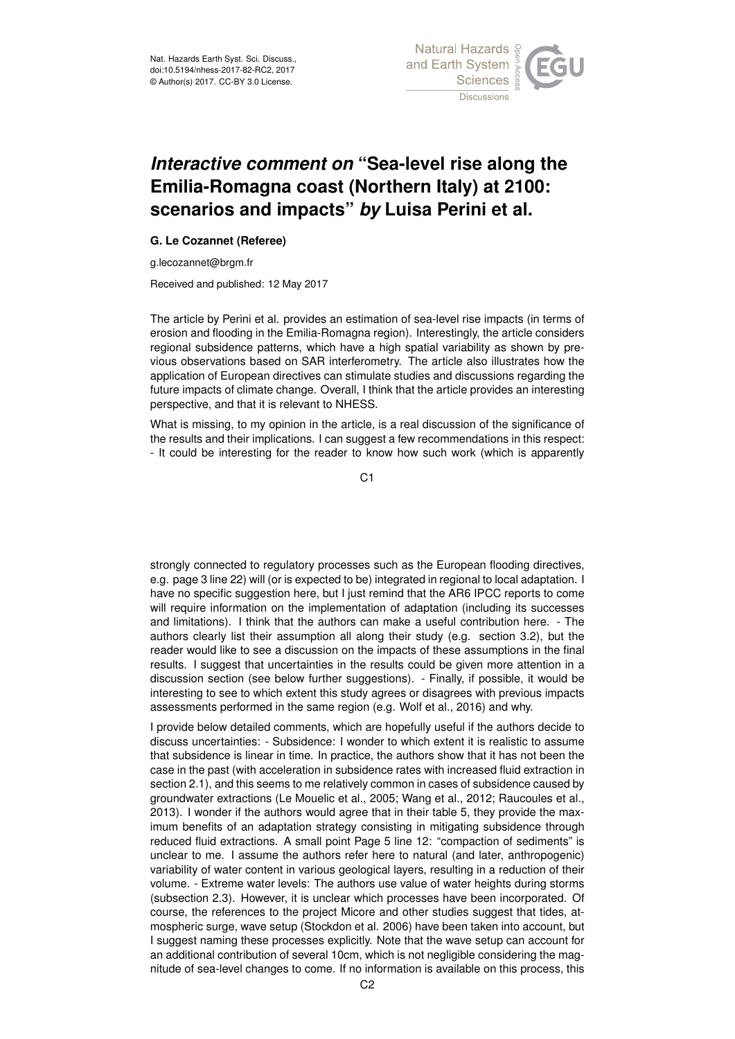

## *Interactive comment on* **"Sea-level rise along the Emilia-Romagna coast (Northern Italy) at 2100: scenarios and impacts"** *by* **Luisa Perini et al.**

## **G. Le Cozannet (Referee)**

g.lecozannet@brgm.fr

Received and published: 12 May 2017

The article by Perini et al. provides an estimation of sea-level rise impacts (in terms of erosion and flooding in the Emilia-Romagna region). Interestingly, the article considers regional subsidence patterns, which have a high spatial variability as shown by previous observations based on SAR interferometry. The article also illustrates how the application of European directives can stimulate studies and discussions regarding the future impacts of climate change. Overall, I think that the article provides an interesting perspective, and that it is relevant to NHESS.

What is missing, to my opinion in the article, is a real discussion of the significance of the results and their implications. I can suggest a few recommendations in this respect: - It could be interesting for the reader to know how such work (which is apparently

 $C<sub>1</sub>$ 

strongly connected to regulatory processes such as the European flooding directives, e.g. page 3 line 22) will (or is expected to be) integrated in regional to local adaptation. I have no specific suggestion here, but I just remind that the AR6 IPCC reports to come will require information on the implementation of adaptation (including its successes and limitations). I think that the authors can make a useful contribution here. - The authors clearly list their assumption all along their study (e.g. section 3.2), but the reader would like to see a discussion on the impacts of these assumptions in the final results. I suggest that uncertainties in the results could be given more attention in a discussion section (see below further suggestions). - Finally, if possible, it would be interesting to see to which extent this study agrees or disagrees with previous impacts assessments performed in the same region (e.g. Wolf et al., 2016) and why.

I provide below detailed comments, which are hopefully useful if the authors decide to discuss uncertainties: - Subsidence: I wonder to which extent it is realistic to assume that subsidence is linear in time. In practice, the authors show that it has not been the case in the past (with acceleration in subsidence rates with increased fluid extraction in section 2.1), and this seems to me relatively common in cases of subsidence caused by groundwater extractions (Le Mouelic et al., 2005; Wang et al., 2012; Raucoules et al., 2013). I wonder if the authors would agree that in their table 5, they provide the maximum benefits of an adaptation strategy consisting in mitigating subsidence through reduced fluid extractions. A small point Page 5 line 12: "compaction of sediments" is unclear to me. I assume the authors refer here to natural (and later, anthropogenic) variability of water content in various geological layers, resulting in a reduction of their volume. - Extreme water levels: The authors use value of water heights during storms (subsection 2.3). However, it is unclear which processes have been incorporated. Of course, the references to the project Micore and other studies suggest that tides, atmospheric surge, wave setup (Stockdon et al. 2006) have been taken into account, but I suggest naming these processes explicitly. Note that the wave setup can account for an additional contribution of several 10cm, which is not negligible considering the magnitude of sea-level changes to come. If no information is available on this process, this